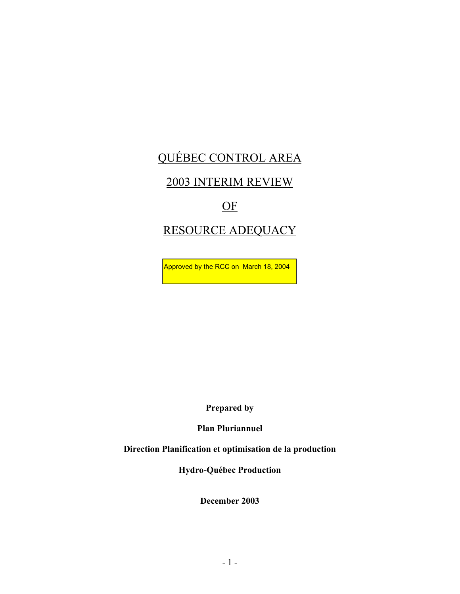# QUÉBEC CONTROL AREA

## 2003 INTERIM REVIEW

## OF

# RESOURCE ADEQUACY

Approved by the RCC on March 18, 2004

**Prepared by** 

**Plan Pluriannuel** 

**Direction Planification et optimisation de la production** 

**Hydro-Québec Production** 

**December 2003**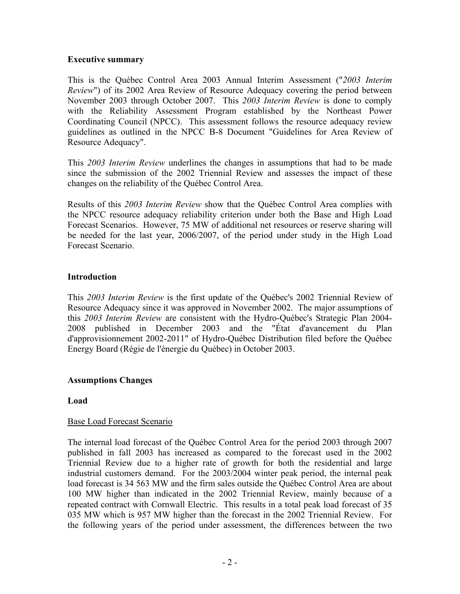#### **Executive summary**

This is the Québec Control Area 2003 Annual Interim Assessment ("*2003 Interim Review*") of its 2002 Area Review of Resource Adequacy covering the period between November 2003 through October 2007. This *2003 Interim Review* is done to comply with the Reliability Assessment Program established by the Northeast Power Coordinating Council (NPCC). This assessment follows the resource adequacy review guidelines as outlined in the NPCC B-8 Document "Guidelines for Area Review of Resource Adequacy".

This *2003 Interim Review* underlines the changes in assumptions that had to be made since the submission of the 2002 Triennial Review and assesses the impact of these changes on the reliability of the Québec Control Area.

Results of this *2003 Interim Review* show that the Québec Control Area complies with the NPCC resource adequacy reliability criterion under both the Base and High Load Forecast Scenarios. However, 75 MW of additional net resources or reserve sharing will be needed for the last year, 2006/2007, of the period under study in the High Load Forecast Scenario.

## **Introduction**

This *2003 Interim Review* is the first update of the Québec's 2002 Triennial Review of Resource Adequacy since it was approved in November 2002. The major assumptions of this *2003 Interim Review* are consistent with the Hydro-Québec's Strategic Plan 2004- 2008 published in December 2003 and the "État d'avancement du Plan d'approvisionnement 2002-2011" of Hydro-Québec Distribution filed before the Québec Energy Board (Régie de l'énergie du Québec) in October 2003.

## **Assumptions Changes**

## **Load**

## Base Load Forecast Scenario

The internal load forecast of the Québec Control Area for the period 2003 through 2007 published in fall 2003 has increased as compared to the forecast used in the 2002 Triennial Review due to a higher rate of growth for both the residential and large industrial customers demand. For the 2003/2004 winter peak period, the internal peak load forecast is 34 563 MW and the firm sales outside the Québec Control Area are about 100 MW higher than indicated in the 2002 Triennial Review, mainly because of a repeated contract with Cornwall Electric. This results in a total peak load forecast of 35 035 MW which is 957 MW higher than the forecast in the 2002 Triennial Review. For the following years of the period under assessment, the differences between the two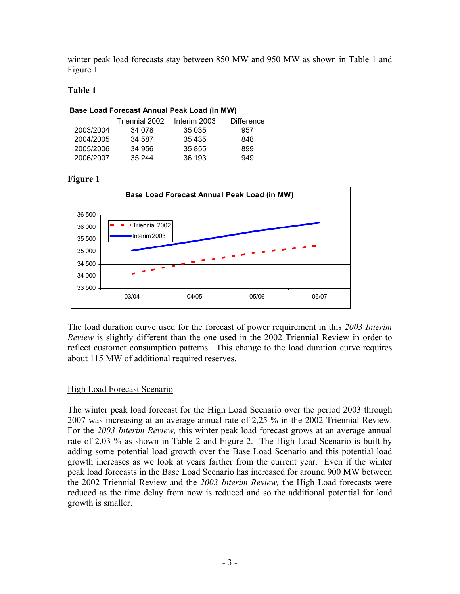winter peak load forecasts stay between 850 MW and 950 MW as shown in Table 1 and Figure 1.

## **Table 1**

| Base Load Forecast Annual Peak Load (in MW) |                |              |                   |
|---------------------------------------------|----------------|--------------|-------------------|
|                                             | Triennial 2002 | Interim 2003 | <b>Difference</b> |
| 2003/2004                                   | 34 078         | 35 035       | 957               |
| 2004/2005                                   | 34 587         | 35 4 35      | 848               |
| 2005/2006                                   | 34 956         | 35 855       | 899               |
| 2006/2007                                   | 35 244         | 36 193       | 949               |

#### **Figure 1**



The load duration curve used for the forecast of power requirement in this *2003 Interim Review* is slightly different than the one used in the 2002 Triennial Review in order to reflect customer consumption patterns. This change to the load duration curve requires about 115 MW of additional required reserves.

## High Load Forecast Scenario

The winter peak load forecast for the High Load Scenario over the period 2003 through 2007 was increasing at an average annual rate of 2,25 % in the 2002 Triennial Review. For the *2003 Interim Review,* this winter peak load forecast grows at an average annual rate of 2,03 % as shown in Table 2 and Figure 2. The High Load Scenario is built by adding some potential load growth over the Base Load Scenario and this potential load growth increases as we look at years farther from the current year. Even if the winter peak load forecasts in the Base Load Scenario has increased for around 900 MW between the 2002 Triennial Review and the *2003 Interim Review,* the High Load forecasts were reduced as the time delay from now is reduced and so the additional potential for load growth is smaller.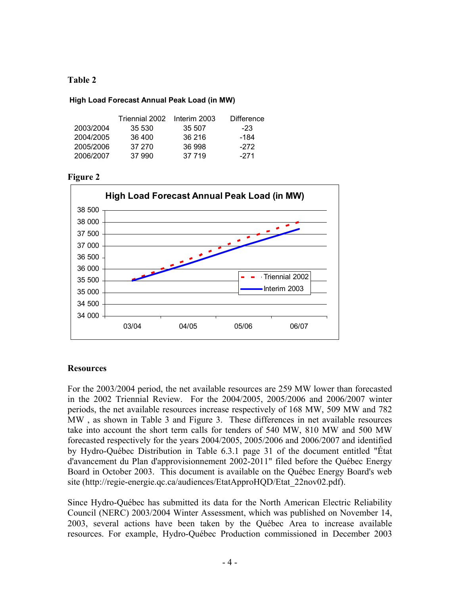## **Table 2**

#### **High Load Forecast Annual Peak Load (in MW)**

|           | Triennial 2002 | Interim 2003 | Difference |
|-----------|----------------|--------------|------------|
| 2003/2004 | 35 530         | 35 507       | -23        |
| 2004/2005 | 36 400         | 36 216       | -184       |
| 2005/2006 | 37 270         | 36 998       | -272       |
| 2006/2007 | 37 990         | 37 719       | -271       |

#### **Figure 2**



## **Resources**

For the 2003/2004 period, the net available resources are 259 MW lower than forecasted in the 2002 Triennial Review. For the 2004/2005, 2005/2006 and 2006/2007 winter periods, the net available resources increase respectively of 168 MW, 509 MW and 782 MW , as shown in Table 3 and Figure 3. These differences in net available resources take into account the short term calls for tenders of 540 MW, 810 MW and 500 MW forecasted respectively for the years 2004/2005, 2005/2006 and 2006/2007 and identified by Hydro-Québec Distribution in Table 6.3.1 page 31 of the document entitled "État d'avancement du Plan d'approvisionnement 2002-2011" filed before the Québec Energy Board in October 2003. This document is available on the Québec Energy Board's web site (http://regie-energie.qc.ca/audiences/EtatApproHQD/Etat\_22nov02.pdf).

Since Hydro-Québec has submitted its data for the North American Electric Reliability Council (NERC) 2003/2004 Winter Assessment, which was published on November 14, 2003, several actions have been taken by the Québec Area to increase available resources. For example, Hydro-Québec Production commissioned in December 2003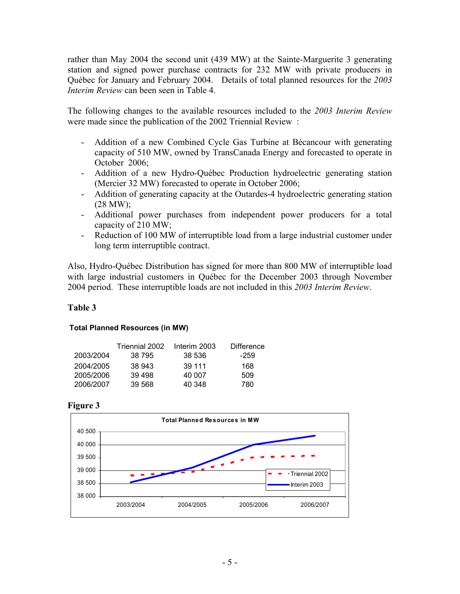rather than May 2004 the second unit (439 MW) at the Sainte-Marguerite 3 generating station and signed power purchase contracts for 232 MW with private producers in Québec for January and February 2004. Details of total planned resources for the *2003 Interim Review* can been seen in Table 4.

The following changes to the available resources included to the *2003 Interim Review* were made since the publication of the 2002 Triennial Review :

- Addition of a new Combined Cycle Gas Turbine at Bécancour with generating capacity of 510 MW, owned by TransCanada Energy and forecasted to operate in October 2006;
- Addition of a new Hydro-Québec Production hydroelectric generating station (Mercier 32 MW) forecasted to operate in October 2006;
- Addition of generating capacity at the Outardes-4 hydroelectric generating station  $(28 \text{ MW})$ ;
- Additional power purchases from independent power producers for a total capacity of 210 MW;
- Reduction of 100 MW of interruptible load from a large industrial customer under long term interruptible contract.

Also, Hydro-Québec Distribution has signed for more than 800 MW of interruptible load with large industrial customers in Québec for the December 2003 through November 2004 period. These interruptible loads are not included in this *2003 Interim Review*.

## **Table 3**

#### **Total Planned Resources (in MW)**

|           | Triennial 2002 | Interim 2003 | <b>Difference</b> |
|-----------|----------------|--------------|-------------------|
| 2003/2004 | 38 795         | 38 536       | -259              |
| 2004/2005 | 38 943         | 39 111       | 168               |
| 2005/2006 | 39 498         | 40 007       | 509               |
| 2006/2007 | 39 568         | 40 348       | 780               |

**Figure 3** 

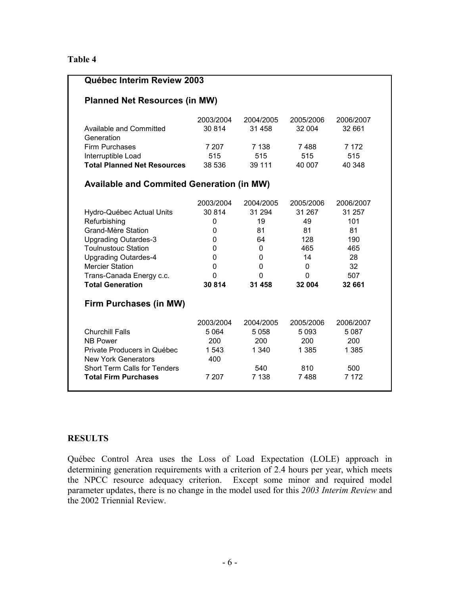#### **Table 4**

| Québec Interim Review 2003                       |             |           |           |           |  |
|--------------------------------------------------|-------------|-----------|-----------|-----------|--|
| <b>Planned Net Resources (in MW)</b>             |             |           |           |           |  |
|                                                  | 2003/2004   | 2004/2005 | 2005/2006 | 2006/2007 |  |
| Available and Committed<br>Generation            | 30 814      | 31 458    | 32 004    | 32 661    |  |
| <b>Firm Purchases</b>                            | 7 207       | 7 1 3 8   | 7488      | 7 1 7 2   |  |
| Interruptible Load                               | 515         | 515       | 515       | 515       |  |
| <b>Total Planned Net Resources</b>               | 38 536      | 39 111    | 40 007    | 40 348    |  |
| <b>Available and Commited Generation (in MW)</b> |             |           |           |           |  |
|                                                  | 2003/2004   | 2004/2005 | 2005/2006 | 2006/2007 |  |
| Hydro-Québec Actual Units                        | 30 814      | 31 294    | 31 267    | 31 257    |  |
| Refurbishing                                     | $\mathbf 0$ | 19        | 49        | 101       |  |
| Grand-Mère Station                               | 0           | 81        | 81        | 81        |  |
| <b>Upgrading Outardes-3</b>                      | 0           | 64        | 128       | 190       |  |
| <b>Toulnustouc Station</b>                       | 0           | 0         | 465       | 465       |  |
| <b>Upgrading Outardes-4</b>                      | 0           | 0         | 14        | 28        |  |
| <b>Mercier Station</b>                           | 0           | 0         | 0         | 32        |  |
| Trans-Canada Energy c.c.                         | $\Omega$    | 0         | $\Omega$  | 507       |  |
| <b>Total Generation</b>                          | 30 814      | 31 458    | 32 004    | 32 661    |  |
| Firm Purchases (in MW)                           |             |           |           |           |  |
|                                                  | 2003/2004   | 2004/2005 | 2005/2006 | 2006/2007 |  |
| <b>Churchill Falls</b>                           | 5 0 64      | 5058      | 5 0 9 3   | 5 0 8 7   |  |
| <b>NB Power</b>                                  | 200         | 200       | 200       | 200       |  |
| Private Producers in Québec                      | 1 543       | 1 340     | 1 3 8 5   | 1 3 8 5   |  |
| <b>New York Generators</b>                       | 400         |           |           |           |  |
| <b>Short Term Calls for Tenders</b>              |             | 540       | 810       | 500       |  |
| <b>Total Firm Purchases</b>                      | 7 207       | 7 1 3 8   | 7488      | 7 1 7 2   |  |
|                                                  |             |           |           |           |  |

#### **RESULTS**

Québec Control Area uses the Loss of Load Expectation (LOLE) approach in determining generation requirements with a criterion of 2.4 hours per year, which meets the NPCC resource adequacy criterion. Except some minor and required model parameter updates, there is no change in the model used for this *2003 Interim Review* and the 2002 Triennial Review.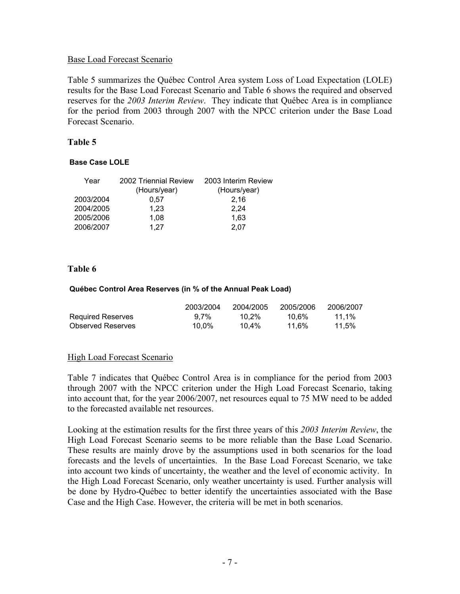#### Base Load Forecast Scenario

Table 5 summarizes the Québec Control Area system Loss of Load Expectation (LOLE) results for the Base Load Forecast Scenario and Table 6 shows the required and observed reserves for the *2003 Interim Review*. They indicate that Québec Area is in compliance for the period from 2003 through 2007 with the NPCC criterion under the Base Load Forecast Scenario.

#### **Table 5**

#### **Base Case LOLE**

| Year      | 2002 Triennial Review | 2003 Interim Review |
|-----------|-----------------------|---------------------|
|           | (Hours/year)          | (Hours/year)        |
| 2003/2004 | 0.57                  | 2,16                |
| 2004/2005 | 1,23                  | 2,24                |
| 2005/2006 | 1.08                  | 1,63                |
| 2006/2007 | 1.27                  | 2.07                |

#### **Table 6**

#### **Québec Control Area Reserves (in % of the Annual Peak Load)**

|                          | 2003/2004 | 2004/2005 | 2005/2006 | 2006/2007 |
|--------------------------|-----------|-----------|-----------|-----------|
| <b>Required Reserves</b> | $9.7\%$   | 10.2%     | 10.6%     | 11.1%     |
| <b>Observed Reserves</b> | 10.0%     | 10.4%     | 11.6%     | 11.5%     |

#### High Load Forecast Scenario

Table 7 indicates that Québec Control Area is in compliance for the period from 2003 through 2007 with the NPCC criterion under the High Load Forecast Scenario, taking into account that, for the year 2006/2007, net resources equal to 75 MW need to be added to the forecasted available net resources.

Looking at the estimation results for the first three years of this *2003 Interim Review*, the High Load Forecast Scenario seems to be more reliable than the Base Load Scenario. These results are mainly drove by the assumptions used in both scenarios for the load forecasts and the levels of uncertainties. In the Base Load Forecast Scenario, we take into account two kinds of uncertainty, the weather and the level of economic activity. In the High Load Forecast Scenario, only weather uncertainty is used. Further analysis will be done by Hydro-Québec to better identify the uncertainties associated with the Base Case and the High Case. However, the criteria will be met in both scenarios.